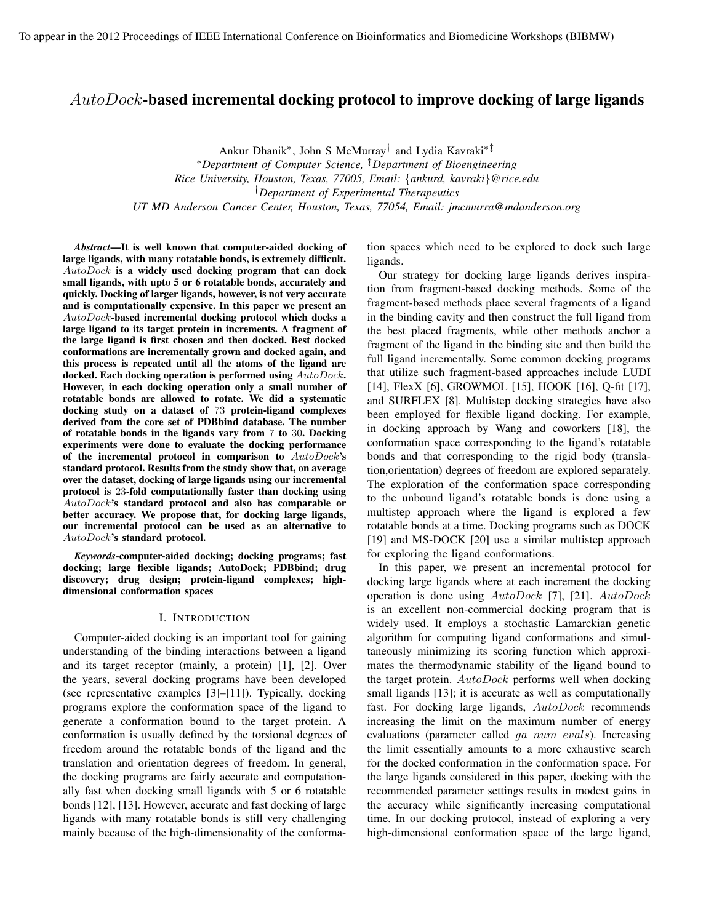# $AutoDock$ -based incremental docking protocol to improve docking of large ligands

Ankur Dhanik∗ , John S McMurray† and Lydia Kavraki∗‡

∗*Department of Computer Science,* ‡*Department of Bioengineering Rice University, Houston, Texas, 77005, Email:* {*ankurd, kavraki*}*@rice.edu* †*Department of Experimental Therapeutics UT MD Anderson Cancer Center, Houston, Texas, 77054, Email: jmcmurra@mdanderson.org*

*Abstract*—It is well known that computer-aided docking of large ligands, with many rotatable bonds, is extremely difficult. AutoDock is a widely used docking program that can dock small ligands, with upto 5 or 6 rotatable bonds, accurately and quickly. Docking of larger ligands, however, is not very accurate and is computationally expensive. In this paper we present an AutoDock-based incremental docking protocol which docks a large ligand to its target protein in increments. A fragment of the large ligand is first chosen and then docked. Best docked conformations are incrementally grown and docked again, and this process is repeated until all the atoms of the ligand are docked. Each docking operation is performed using AutoDock. However, in each docking operation only a small number of rotatable bonds are allowed to rotate. We did a systematic docking study on a dataset of 73 protein-ligand complexes derived from the core set of PDBbind database. The number of rotatable bonds in the ligands vary from 7 to 30. Docking experiments were done to evaluate the docking performance of the incremental protocol in comparison to AutoDock's standard protocol. Results from the study show that, on average over the dataset, docking of large ligands using our incremental protocol is 23-fold computationally faster than docking using AutoDock's standard protocol and also has comparable or better accuracy. We propose that, for docking large ligands, our incremental protocol can be used as an alternative to AutoDock's standard protocol.

*Keywords*-computer-aided docking; docking programs; fast docking; large flexible ligands; AutoDock; PDBbind; drug discovery; drug design; protein-ligand complexes; highdimensional conformation spaces

# I. INTRODUCTION

Computer-aided docking is an important tool for gaining understanding of the binding interactions between a ligand and its target receptor (mainly, a protein) [1], [2]. Over the years, several docking programs have been developed (see representative examples [3]–[11]). Typically, docking programs explore the conformation space of the ligand to generate a conformation bound to the target protein. A conformation is usually defined by the torsional degrees of freedom around the rotatable bonds of the ligand and the translation and orientation degrees of freedom. In general, the docking programs are fairly accurate and computationally fast when docking small ligands with 5 or 6 rotatable bonds [12], [13]. However, accurate and fast docking of large ligands with many rotatable bonds is still very challenging mainly because of the high-dimensionality of the conformation spaces which need to be explored to dock such large ligands.

Our strategy for docking large ligands derives inspiration from fragment-based docking methods. Some of the fragment-based methods place several fragments of a ligand in the binding cavity and then construct the full ligand from the best placed fragments, while other methods anchor a fragment of the ligand in the binding site and then build the full ligand incrementally. Some common docking programs that utilize such fragment-based approaches include LUDI [14], FlexX [6], GROWMOL [15], HOOK [16], Q-fit [17], and SURFLEX [8]. Multistep docking strategies have also been employed for flexible ligand docking. For example, in docking approach by Wang and coworkers [18], the conformation space corresponding to the ligand's rotatable bonds and that corresponding to the rigid body (translation,orientation) degrees of freedom are explored separately. The exploration of the conformation space corresponding to the unbound ligand's rotatable bonds is done using a multistep approach where the ligand is explored a few rotatable bonds at a time. Docking programs such as DOCK [19] and MS-DOCK [20] use a similar multistep approach for exploring the ligand conformations.

In this paper, we present an incremental protocol for docking large ligands where at each increment the docking operation is done using AutoDock [7], [21]. AutoDock is an excellent non-commercial docking program that is widely used. It employs a stochastic Lamarckian genetic algorithm for computing ligand conformations and simultaneously minimizing its scoring function which approximates the thermodynamic stability of the ligand bound to the target protein. AutoDock performs well when docking small ligands [13]; it is accurate as well as computationally fast. For docking large ligands, AutoDock recommends increasing the limit on the maximum number of energy evaluations (parameter called  $ga\_num\_evals$ ). Increasing the limit essentially amounts to a more exhaustive search for the docked conformation in the conformation space. For the large ligands considered in this paper, docking with the recommended parameter settings results in modest gains in the accuracy while significantly increasing computational time. In our docking protocol, instead of exploring a very high-dimensional conformation space of the large ligand,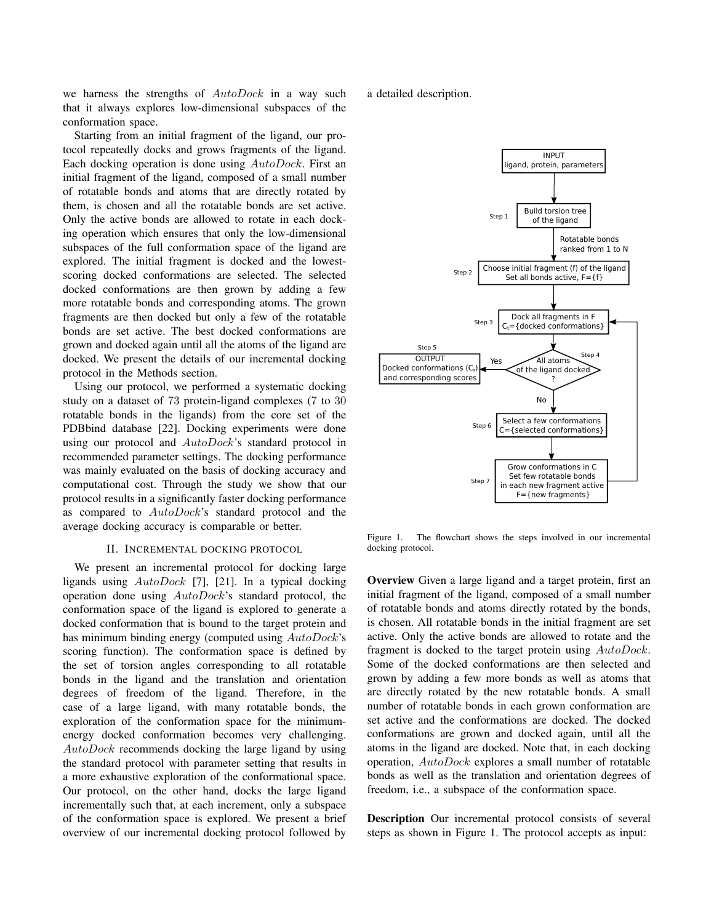we harness the strengths of  $AutoDock$  in a way such that it always explores low-dimensional subspaces of the conformation space.

Starting from an initial fragment of the ligand, our protocol repeatedly docks and grows fragments of the ligand. Each docking operation is done using AutoDock. First an initial fragment of the ligand, composed of a small number of rotatable bonds and atoms that are directly rotated by them, is chosen and all the rotatable bonds are set active. Only the active bonds are allowed to rotate in each docking operation which ensures that only the low-dimensional subspaces of the full conformation space of the ligand are explored. The initial fragment is docked and the lowestscoring docked conformations are selected. The selected docked conformations are then grown by adding a few more rotatable bonds and corresponding atoms. The grown fragments are then docked but only a few of the rotatable bonds are set active. The best docked conformations are grown and docked again until all the atoms of the ligand are docked. We present the details of our incremental docking protocol in the Methods section.

Using our protocol, we performed a systematic docking study on a dataset of 73 protein-ligand complexes (7 to 30 rotatable bonds in the ligands) from the core set of the PDBbind database [22]. Docking experiments were done using our protocol and AutoDock's standard protocol in recommended parameter settings. The docking performance was mainly evaluated on the basis of docking accuracy and computational cost. Through the study we show that our protocol results in a significantly faster docking performance as compared to AutoDock's standard protocol and the average docking accuracy is comparable or better.

#### II. INCREMENTAL DOCKING PROTOCOL

We present an incremental protocol for docking large ligands using AutoDock [7], [21]. In a typical docking operation done using AutoDock's standard protocol, the conformation space of the ligand is explored to generate a docked conformation that is bound to the target protein and has minimum binding energy (computed using  $AutoDock's$ scoring function). The conformation space is defined by the set of torsion angles corresponding to all rotatable bonds in the ligand and the translation and orientation degrees of freedom of the ligand. Therefore, in the case of a large ligand, with many rotatable bonds, the exploration of the conformation space for the minimumenergy docked conformation becomes very challenging. AutoDock recommends docking the large ligand by using the standard protocol with parameter setting that results in a more exhaustive exploration of the conformational space. Our protocol, on the other hand, docks the large ligand incrementally such that, at each increment, only a subspace of the conformation space is explored. We present a brief overview of our incremental docking protocol followed by a detailed description.



Figure 1. The flowchart shows the steps involved in our incremental docking protocol.

Overview Given a large ligand and a target protein, first an initial fragment of the ligand, composed of a small number of rotatable bonds and atoms directly rotated by the bonds, is chosen. All rotatable bonds in the initial fragment are set active. Only the active bonds are allowed to rotate and the fragment is docked to the target protein using AutoDock. Some of the docked conformations are then selected and grown by adding a few more bonds as well as atoms that are directly rotated by the new rotatable bonds. A small number of rotatable bonds in each grown conformation are set active and the conformations are docked. The docked conformations are grown and docked again, until all the atoms in the ligand are docked. Note that, in each docking operation, AutoDock explores a small number of rotatable bonds as well as the translation and orientation degrees of freedom, i.e., a subspace of the conformation space.

Description Our incremental protocol consists of several steps as shown in Figure 1. The protocol accepts as input: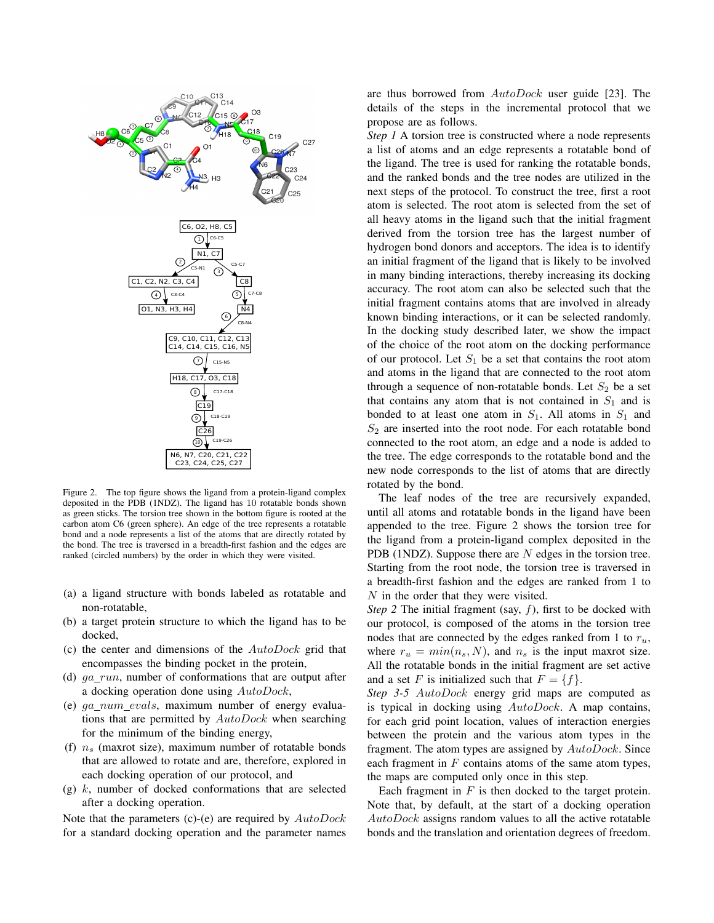

Figure 2. The top figure shows the ligand from a protein-ligand complex deposited in the PDB (1NDZ). The ligand has 10 rotatable bonds shown as green sticks. The torsion tree shown in the bottom figure is rooted at the carbon atom C6 (green sphere). An edge of the tree represents a rotatable bond and a node represents a list of the atoms that are directly rotated by the bond. The tree is traversed in a breadth-first fashion and the edges are ranked (circled numbers) by the order in which they were visited.

- (a) a ligand structure with bonds labeled as rotatable and non-rotatable,
- (b) a target protein structure to which the ligand has to be docked,
- (c) the center and dimensions of the  $AutoDock$  grid that encompasses the binding pocket in the protein,
- (d) ga run, number of conformations that are output after a docking operation done using AutoDock,
- (e)  $ga\_num\_evals$ , maximum number of energy evaluations that are permitted by AutoDock when searching for the minimum of the binding energy,
- (f)  $n_s$  (maxrot size), maximum number of rotatable bonds that are allowed to rotate and are, therefore, explored in each docking operation of our protocol, and
- (g)  $k$ , number of docked conformations that are selected after a docking operation.

Note that the parameters (c)-(e) are required by AutoDock for a standard docking operation and the parameter names are thus borrowed from AutoDock user guide [23]. The details of the steps in the incremental protocol that we propose are as follows.

*Step 1* A torsion tree is constructed where a node represents a list of atoms and an edge represents a rotatable bond of the ligand. The tree is used for ranking the rotatable bonds, and the ranked bonds and the tree nodes are utilized in the next steps of the protocol. To construct the tree, first a root atom is selected. The root atom is selected from the set of all heavy atoms in the ligand such that the initial fragment derived from the torsion tree has the largest number of hydrogen bond donors and acceptors. The idea is to identify an initial fragment of the ligand that is likely to be involved in many binding interactions, thereby increasing its docking accuracy. The root atom can also be selected such that the initial fragment contains atoms that are involved in already known binding interactions, or it can be selected randomly. In the docking study described later, we show the impact of the choice of the root atom on the docking performance of our protocol. Let  $S_1$  be a set that contains the root atom and atoms in the ligand that are connected to the root atom through a sequence of non-rotatable bonds. Let  $S_2$  be a set that contains any atom that is not contained in  $S_1$  and is bonded to at least one atom in  $S_1$ . All atoms in  $S_1$  and  $S<sub>2</sub>$  are inserted into the root node. For each rotatable bond connected to the root atom, an edge and a node is added to the tree. The edge corresponds to the rotatable bond and the new node corresponds to the list of atoms that are directly rotated by the bond.

The leaf nodes of the tree are recursively expanded, until all atoms and rotatable bonds in the ligand have been appended to the tree. Figure 2 shows the torsion tree for the ligand from a protein-ligand complex deposited in the PDB (1NDZ). Suppose there are  $N$  edges in the torsion tree. Starting from the root node, the torsion tree is traversed in a breadth-first fashion and the edges are ranked from 1 to N in the order that they were visited.

*Step 2* The initial fragment (say, f), first to be docked with our protocol, is composed of the atoms in the torsion tree nodes that are connected by the edges ranked from 1 to  $r_u$ , where  $r_u = min(n_s, N)$ , and  $n_s$  is the input maxrot size. All the rotatable bonds in the initial fragment are set active and a set F is initialized such that  $F = \{f\}.$ 

*Step 3-5* AutoDock energy grid maps are computed as is typical in docking using  $AutoDock$ . A map contains, for each grid point location, values of interaction energies between the protein and the various atom types in the fragment. The atom types are assigned by AutoDock. Since each fragment in  $F$  contains atoms of the same atom types, the maps are computed only once in this step.

Each fragment in  $F$  is then docked to the target protein. Note that, by default, at the start of a docking operation AutoDock assigns random values to all the active rotatable bonds and the translation and orientation degrees of freedom.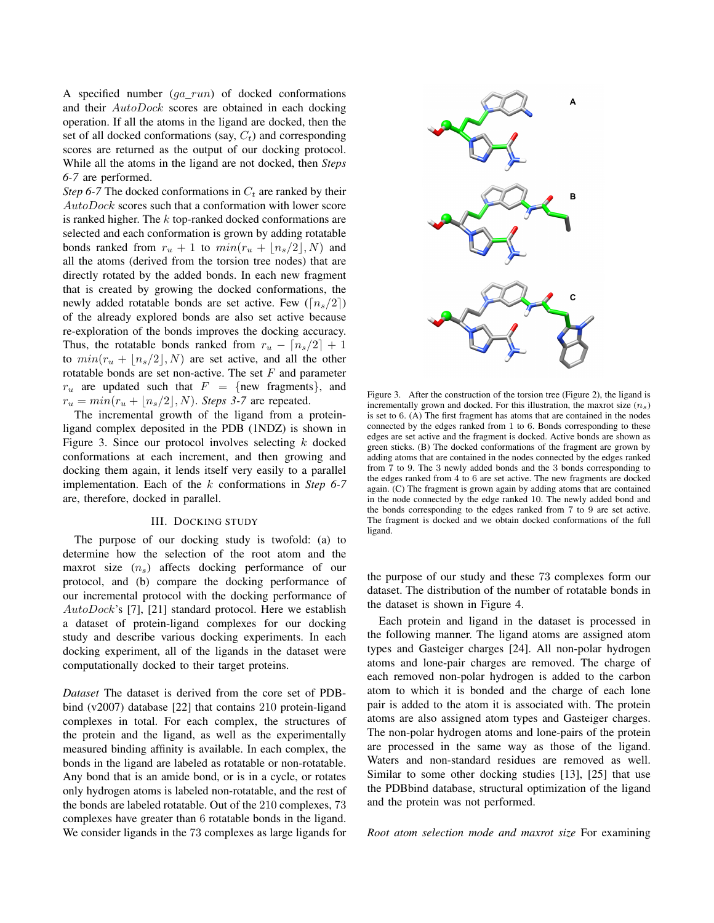A specified number  $(ga\_run)$  of docked conformations and their AutoDock scores are obtained in each docking operation. If all the atoms in the ligand are docked, then the set of all docked conformations (say,  $C_t$ ) and corresponding scores are returned as the output of our docking protocol. While all the atoms in the ligand are not docked, then *Steps 6-7* are performed.

*Step 6-7* The docked conformations in  $C_t$  are ranked by their AutoDock scores such that a conformation with lower score is ranked higher. The k top-ranked docked conformations are selected and each conformation is grown by adding rotatable bonds ranked from  $r_u + 1$  to  $min(r_u + |n_s/2|, N)$  and all the atoms (derived from the torsion tree nodes) that are directly rotated by the added bonds. In each new fragment that is created by growing the docked conformations, the newly added rotatable bonds are set active. Few  $(\lceil n_s/2 \rceil)$ of the already explored bonds are also set active because re-exploration of the bonds improves the docking accuracy. Thus, the rotatable bonds ranked from  $r_u - \lfloor n_s/2 \rfloor + 1$ to  $min(r_u + |n_s/2|, N)$  are set active, and all the other rotatable bonds are set non-active. The set  $F$  and parameter  $r_u$  are updated such that  $F = \{new$  fragments}, and  $r_u = min(r_u + \lfloor n_s/2 \rfloor, N)$ . *Steps 3-7* are repeated.

The incremental growth of the ligand from a proteinligand complex deposited in the PDB (1NDZ) is shown in Figure 3. Since our protocol involves selecting  $k$  docked conformations at each increment, and then growing and docking them again, it lends itself very easily to a parallel implementation. Each of the k conformations in *Step 6-7* are, therefore, docked in parallel.

# III. DOCKING STUDY

The purpose of our docking study is twofold: (a) to determine how the selection of the root atom and the maxrot size  $(n<sub>s</sub>)$  affects docking performance of our protocol, and (b) compare the docking performance of our incremental protocol with the docking performance of  $AutoDock's$  [7], [21] standard protocol. Here we establish a dataset of protein-ligand complexes for our docking study and describe various docking experiments. In each docking experiment, all of the ligands in the dataset were computationally docked to their target proteins.

*Dataset* The dataset is derived from the core set of PDBbind (v2007) database [22] that contains 210 protein-ligand complexes in total. For each complex, the structures of the protein and the ligand, as well as the experimentally measured binding affinity is available. In each complex, the bonds in the ligand are labeled as rotatable or non-rotatable. Any bond that is an amide bond, or is in a cycle, or rotates only hydrogen atoms is labeled non-rotatable, and the rest of the bonds are labeled rotatable. Out of the 210 complexes, 73 complexes have greater than 6 rotatable bonds in the ligand. We consider ligands in the 73 complexes as large ligands for



Figure 3. After the construction of the torsion tree (Figure 2), the ligand is incrementally grown and docked. For this illustration, the maxrot size  $(n_s)$ is set to 6. (A) The first fragment has atoms that are contained in the nodes connected by the edges ranked from 1 to 6. Bonds corresponding to these edges are set active and the fragment is docked. Active bonds are shown as green sticks. (B) The docked conformations of the fragment are grown by adding atoms that are contained in the nodes connected by the edges ranked from 7 to 9. The 3 newly added bonds and the 3 bonds corresponding to the edges ranked from 4 to 6 are set active. The new fragments are docked again. (C) The fragment is grown again by adding atoms that are contained in the node connected by the edge ranked 10. The newly added bond and the bonds corresponding to the edges ranked from 7 to 9 are set active. The fragment is docked and we obtain docked conformations of the full ligand.

the purpose of our study and these 73 complexes form our dataset. The distribution of the number of rotatable bonds in the dataset is shown in Figure 4.

Each protein and ligand in the dataset is processed in the following manner. The ligand atoms are assigned atom types and Gasteiger charges [24]. All non-polar hydrogen atoms and lone-pair charges are removed. The charge of each removed non-polar hydrogen is added to the carbon atom to which it is bonded and the charge of each lone pair is added to the atom it is associated with. The protein atoms are also assigned atom types and Gasteiger charges. The non-polar hydrogen atoms and lone-pairs of the protein are processed in the same way as those of the ligand. Waters and non-standard residues are removed as well. Similar to some other docking studies [13], [25] that use the PDBbind database, structural optimization of the ligand and the protein was not performed.

*Root atom selection mode and maxrot size* For examining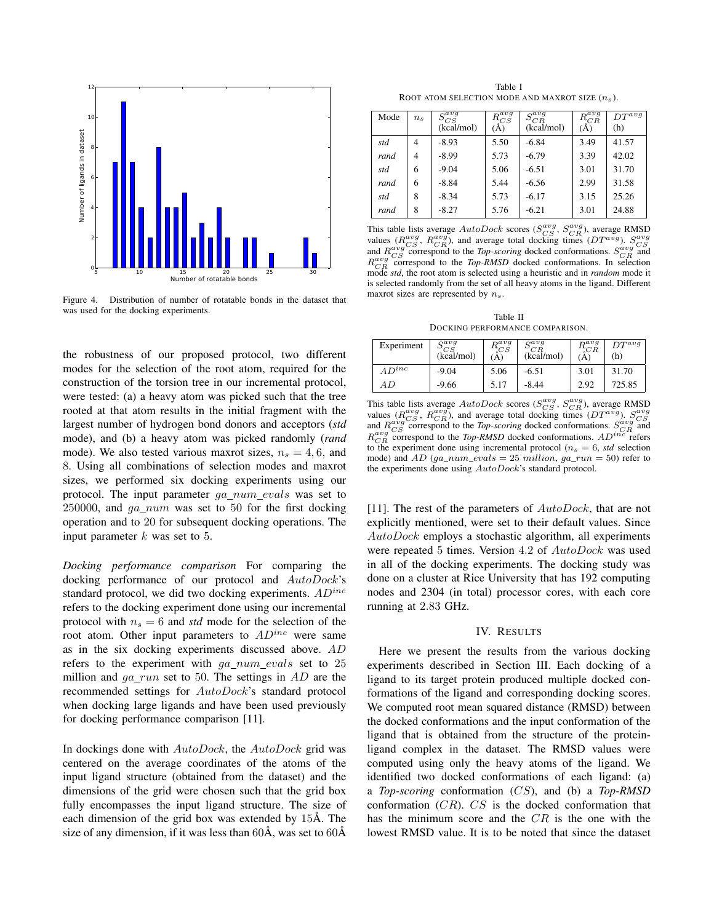

Figure 4. Distribution of number of rotatable bonds in the dataset that was used for the docking experiments.

the robustness of our proposed protocol, two different modes for the selection of the root atom, required for the construction of the torsion tree in our incremental protocol, were tested: (a) a heavy atom was picked such that the tree rooted at that atom results in the initial fragment with the largest number of hydrogen bond donors and acceptors (*std* mode), and (b) a heavy atom was picked randomly (*rand* mode). We also tested various maxrot sizes,  $n_s = 4, 6$ , and 8. Using all combinations of selection modes and maxrot sizes, we performed six docking experiments using our protocol. The input parameter  $ga\_num\_evals$  was set to 250000, and  $ga\_num$  was set to 50 for the first docking operation and to 20 for subsequent docking operations. The input parameter  $k$  was set to 5.

*Docking performance comparison* For comparing the docking performance of our protocol and AutoDock's standard protocol, we did two docking experiments.  $AD^{inc}$ refers to the docking experiment done using our incremental protocol with  $n_s = 6$  and *std* mode for the selection of the root atom. Other input parameters to  $AD^{inc}$  were same as in the six docking experiments discussed above. AD refers to the experiment with  $ga\_num\_evals$  set to 25 million and  $ga\_run$  set to 50. The settings in  $AD$  are the recommended settings for AutoDock's standard protocol when docking large ligands and have been used previously for docking performance comparison [11].

In dockings done with AutoDock, the AutoDock grid was centered on the average coordinates of the atoms of the input ligand structure (obtained from the dataset) and the dimensions of the grid were chosen such that the grid box fully encompasses the input ligand structure. The size of each dimension of the grid box was extended by  $15\text{\AA}$ . The size of any dimension, if it was less than  $60\text{\AA}$ , was set to  $60\text{\AA}$ 

Table I ROOT ATOM SELECTION MODE AND MAXROT SIZE  $(n_s)$ .

| Mode | $n_{s}$        | $\alpha$ <sup>a</sup><br>$D_{CS}$ | $\overline{R}_{CS}^{avg}$ | $\overline{S_{CR}^{avg}}$ | $\overline{R}^{avg}_{CR}$ | $DT^{avg}$ |
|------|----------------|-----------------------------------|---------------------------|---------------------------|---------------------------|------------|
|      |                | (kcal/mol)                        | (Å)                       | (kcal/mol)                | (Å)                       | (h)        |
| std  | $\overline{4}$ | $-8.93$                           | 5.50                      | $-6.84$                   | 3.49                      | 41.57      |
| rand | 4              | $-8.99$                           | 5.73                      | $-6.79$                   | 3.39                      | 42.02      |
| std  | 6              | $-9.04$                           | 5.06                      | $-6.51$                   | 3.01                      | 31.70      |
| rand | 6              | $-8.84$                           | 5.44                      | $-6.56$                   | 2.99                      | 31.58      |
| std  | 8              | $-8.34$                           | 5.73                      | $-6.17$                   | 3.15                      | 25.26      |
| rand | 8              | $-8.27$                           | 5.76                      | $-6.21$                   | 3.01                      | 24.88      |

This table lists average  $AutoDock$  scores  $(S_{CS}^{avg}, S_{CR}^{avg})$ , average RMSD values  $(R_{CR}^{avg}, R_{CR}^{avg})$ , and average total docking times  $(DT_{avg}^{avg})$ .  $S_{CS}^{avg}$ values  $(C_S, T_{CR})$ , and average total docking times  $(D_T, T_{CR}^{avg} \nabla_S$ <br>and  $R_{CS}^{avg}$  correspond to the *Top-scoring* docked conformations.  $S_{CR}^{avg}$  and  $R_{CR}^{avg}$  correspond to the *Top-RMSD* docked conformations. In selection mode *std*, the root atom is selected using a heuristic and in *random* mode it is selected randomly from the set of all heavy atoms in the ligand. Different maxrot sizes are represented by  $n_s$ .

Table II DOCKING PERFORMANCE COMPARISON.

| Experiment  | $\alpha$ <sup>a</sup><br>(kcal/mol) | $D^{avg}$<br>CS<br>A. | $\alpha v$ q<br>(kcal/mol) | $\bm{\mathrm{o}}^{avg}$<br>$C$ R<br>A) | $T^{avg}$<br>(h) |
|-------------|-------------------------------------|-----------------------|----------------------------|----------------------------------------|------------------|
| $A$ $D$ inc | $-9.04$                             | 5.06                  | $-6.51$                    | 3.01                                   | 31.70            |
| A D         | $-9.66$                             | 5.17                  | $-8.44$                    | 2.92                                   | 725.85           |

This table lists average  $AutoDock$  scores  $(S_{CS}^{avg}, S_{CR}^{avg})$ , average RMSD values  $(R_{CR}^{avg}, R_{CR}^{avg})$ , and average total docking times  $(DT^{avg})$ .  $S_{CR}^{avg}$ values  $(10^{-8}C_S, 10^{-8}C_R)$ , and average total docking times  $(DT, 10^{18}C_S)$ <br>and  $R_{CS}^{avg}$  correspond to the *Top-RMSD* docked conformations.  $AD_{inc}$  refers to the experiment done using incremental protocol ( $n_s = 6$ , *std* selection mode) and AD (ga\_num\_evals = 25 million, ga\_run = 50) refer to the experiments done using AutoDock's standard protocol.

[11]. The rest of the parameters of  $AutoDock$ , that are not explicitly mentioned, were set to their default values. Since AutoDock employs a stochastic algorithm, all experiments were repeated 5 times. Version 4.2 of AutoDock was used in all of the docking experiments. The docking study was done on a cluster at Rice University that has 192 computing nodes and 2304 (in total) processor cores, with each core running at 2.83 GHz.

### IV. RESULTS

Here we present the results from the various docking experiments described in Section III. Each docking of a ligand to its target protein produced multiple docked conformations of the ligand and corresponding docking scores. We computed root mean squared distance (RMSD) between the docked conformations and the input conformation of the ligand that is obtained from the structure of the proteinligand complex in the dataset. The RMSD values were computed using only the heavy atoms of the ligand. We identified two docked conformations of each ligand: (a) a *Top-scoring* conformation (CS), and (b) a *Top-RMSD* conformation  $(CR)$ .  $CS$  is the docked conformation that has the minimum score and the  $CR$  is the one with the lowest RMSD value. It is to be noted that since the dataset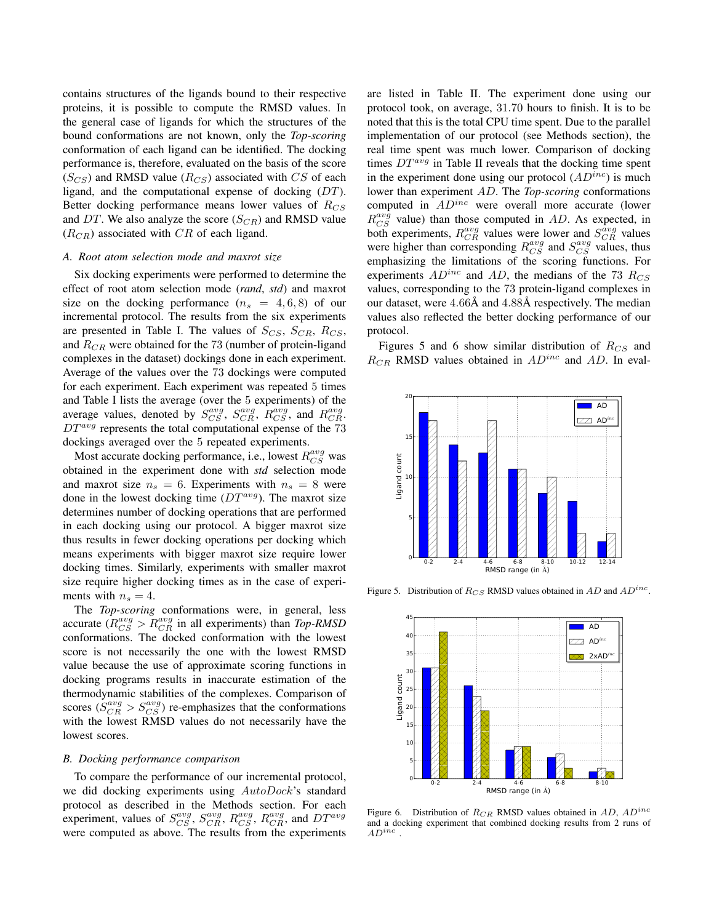contains structures of the ligands bound to their respective proteins, it is possible to compute the RMSD values. In the general case of ligands for which the structures of the bound conformations are not known, only the *Top-scoring* conformation of each ligand can be identified. The docking performance is, therefore, evaluated on the basis of the score  $(S_{CS})$  and RMSD value  $(R_{CS})$  associated with CS of each ligand, and the computational expense of docking (DT). Better docking performance means lower values of  $R_{CS}$ and DT. We also analyze the score  $(S_{CR})$  and RMSD value  $(R_{CB})$  associated with CR of each ligand.

# *A. Root atom selection mode and maxrot size*

Six docking experiments were performed to determine the effect of root atom selection mode (*rand*, *std*) and maxrot size on the docking performance  $(n<sub>s</sub> = 4, 6, 8)$  of our incremental protocol. The results from the six experiments are presented in Table I. The values of  $S_{CS}$ ,  $S_{CR}$ ,  $R_{CS}$ , and  $R_{CR}$  were obtained for the 73 (number of protein-ligand complexes in the dataset) dockings done in each experiment. Average of the values over the 73 dockings were computed for each experiment. Each experiment was repeated 5 times and Table I lists the average (over the 5 experiments) of the average values, denoted by  $S_{CS}^{avg}$ ,  $S_{CR}^{avg}$ ,  $R_{CS}^{avg}$ , and  $R_{CR}^{avg}$ .  $DT^{avg}$  represents the total computational expense of the 73 dockings averaged over the 5 repeated experiments.

Most accurate docking performance, i.e., lowest  $R_{CS}^{avg}$  was obtained in the experiment done with *std* selection mode and maxrot size  $n_s = 6$ . Experiments with  $n_s = 8$  were done in the lowest docking time  $(DT^{avg})$ . The maxrot size determines number of docking operations that are performed in each docking using our protocol. A bigger maxrot size thus results in fewer docking operations per docking which means experiments with bigger maxrot size require lower docking times. Similarly, experiments with smaller maxrot size require higher docking times as in the case of experiments with  $n_s = 4$ .

The *Top-scoring* conformations were, in general, less accurate ( $R_{CS}^{avg} > R_{CR}^{avg}$  in all experiments) than *Top-RMSD* conformations. The docked conformation with the lowest score is not necessarily the one with the lowest RMSD value because the use of approximate scoring functions in docking programs results in inaccurate estimation of the thermodynamic stabilities of the complexes. Comparison of scores ( $S_{CR}^{avg} > S_{CS}^{avg}$ ) re-emphasizes that the conformations with the lowest RMSD values do not necessarily have the lowest scores.

### *B. Docking performance comparison*

To compare the performance of our incremental protocol, we did docking experiments using AutoDock's standard protocol as described in the Methods section. For each experiment, values of  $S_{CS}^{avg}$ ,  $S_{CR}^{avg}$ ,  $R_{CS}^{avg}$ ,  $R_{CR}^{avg}$ , and  $DT^{avg}$ were computed as above. The results from the experiments are listed in Table II. The experiment done using our protocol took, on average, 31.70 hours to finish. It is to be noted that this is the total CPU time spent. Due to the parallel implementation of our protocol (see Methods section), the real time spent was much lower. Comparison of docking times  $DT^{avg}$  in Table II reveals that the docking time spent in the experiment done using our protocol  $(AD^{inc})$  is much lower than experiment AD. The *Top-scoring* conformations computed in  $AD^{inc}$  were overall more accurate (lower  $R_{CS}^{avg}$  value) than those computed in AD. As expected, in both experiments,  $R_{CR}^{avg}$  values were lower and  $S_{CR}^{avg}$  values were higher than corresponding  $R_{CS}^{avg}$  and  $S_{CS}^{avg}$  values, thus emphasizing the limitations of the scoring functions. For experiments  $AD^{inc}$  and  $AD$ , the medians of the 73  $R_{CS}$ values, corresponding to the 73 protein-ligand complexes in our dataset, were  $4.66\text{\AA}$  and  $4.88\text{\AA}$  respectively. The median values also reflected the better docking performance of our protocol.

Figures 5 and 6 show similar distribution of  $R_{CS}$  and  $R_{CR}$  RMSD values obtained in  $AD^{inc}$  and  $AD$ . In eval-



Figure 5. Distribution of  $R_{CS}$  RMSD values obtained in AD and  $AD^{inc}$ .



Figure 6. Distribution of  $R_{CR}$  RMSD values obtained in AD,  $AD^{inc}$ and a docking experiment that combined docking results from 2 runs of  $AD^{inc}$ .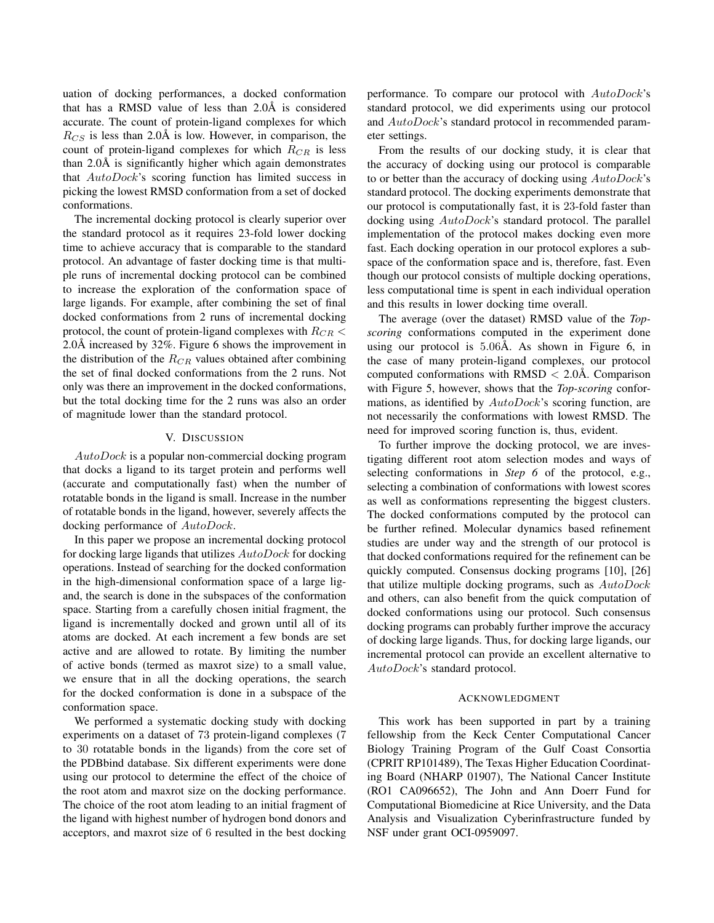uation of docking performances, a docked conformation that has a RMSD value of less than  $2.0\text{\AA}$  is considered accurate. The count of protein-ligand complexes for which  $R_{CS}$  is less than 2.0Å is low. However, in comparison, the count of protein-ligand complexes for which  $R_{CR}$  is less than  $2.0\text{\AA}$  is significantly higher which again demonstrates that AutoDock's scoring function has limited success in picking the lowest RMSD conformation from a set of docked conformations.

The incremental docking protocol is clearly superior over the standard protocol as it requires 23-fold lower docking time to achieve accuracy that is comparable to the standard protocol. An advantage of faster docking time is that multiple runs of incremental docking protocol can be combined to increase the exploration of the conformation space of large ligands. For example, after combining the set of final docked conformations from 2 runs of incremental docking protocol, the count of protein-ligand complexes with  $R_{CR}$  < 2.0Å increased by  $32\%$ . Figure 6 shows the improvement in the distribution of the  $R_{CR}$  values obtained after combining the set of final docked conformations from the 2 runs. Not only was there an improvement in the docked conformations, but the total docking time for the 2 runs was also an order of magnitude lower than the standard protocol.

# V. DISCUSSION

AutoDock is a popular non-commercial docking program that docks a ligand to its target protein and performs well (accurate and computationally fast) when the number of rotatable bonds in the ligand is small. Increase in the number of rotatable bonds in the ligand, however, severely affects the docking performance of AutoDock.

In this paper we propose an incremental docking protocol for docking large ligands that utilizes AutoDock for docking operations. Instead of searching for the docked conformation in the high-dimensional conformation space of a large ligand, the search is done in the subspaces of the conformation space. Starting from a carefully chosen initial fragment, the ligand is incrementally docked and grown until all of its atoms are docked. At each increment a few bonds are set active and are allowed to rotate. By limiting the number of active bonds (termed as maxrot size) to a small value, we ensure that in all the docking operations, the search for the docked conformation is done in a subspace of the conformation space.

We performed a systematic docking study with docking experiments on a dataset of 73 protein-ligand complexes (7 to 30 rotatable bonds in the ligands) from the core set of the PDBbind database. Six different experiments were done using our protocol to determine the effect of the choice of the root atom and maxrot size on the docking performance. The choice of the root atom leading to an initial fragment of the ligand with highest number of hydrogen bond donors and acceptors, and maxrot size of 6 resulted in the best docking performance. To compare our protocol with  $AutoDock's$ standard protocol, we did experiments using our protocol and AutoDock's standard protocol in recommended parameter settings.

From the results of our docking study, it is clear that the accuracy of docking using our protocol is comparable to or better than the accuracy of docking using AutoDock's standard protocol. The docking experiments demonstrate that our protocol is computationally fast, it is 23-fold faster than docking using AutoDock's standard protocol. The parallel implementation of the protocol makes docking even more fast. Each docking operation in our protocol explores a subspace of the conformation space and is, therefore, fast. Even though our protocol consists of multiple docking operations, less computational time is spent in each individual operation and this results in lower docking time overall.

The average (over the dataset) RMSD value of the *Topscoring* conformations computed in the experiment done using our protocol is  $5.06\text{\AA}$ . As shown in Figure 6, in the case of many protein-ligand complexes, our protocol computed conformations with  $RMSD < 2.0$ Å. Comparison with Figure 5, however, shows that the *Top-scoring* conformations, as identified by  $AutoDock$ 's scoring function, are not necessarily the conformations with lowest RMSD. The need for improved scoring function is, thus, evident.

To further improve the docking protocol, we are investigating different root atom selection modes and ways of selecting conformations in *Step 6* of the protocol, e.g., selecting a combination of conformations with lowest scores as well as conformations representing the biggest clusters. The docked conformations computed by the protocol can be further refined. Molecular dynamics based refinement studies are under way and the strength of our protocol is that docked conformations required for the refinement can be quickly computed. Consensus docking programs [10], [26] that utilize multiple docking programs, such as AutoDock and others, can also benefit from the quick computation of docked conformations using our protocol. Such consensus docking programs can probably further improve the accuracy of docking large ligands. Thus, for docking large ligands, our incremental protocol can provide an excellent alternative to AutoDock's standard protocol.

#### ACKNOWLEDGMENT

This work has been supported in part by a training fellowship from the Keck Center Computational Cancer Biology Training Program of the Gulf Coast Consortia (CPRIT RP101489), The Texas Higher Education Coordinating Board (NHARP 01907), The National Cancer Institute (RO1 CA096652), The John and Ann Doerr Fund for Computational Biomedicine at Rice University, and the Data Analysis and Visualization Cyberinfrastructure funded by NSF under grant OCI-0959097.